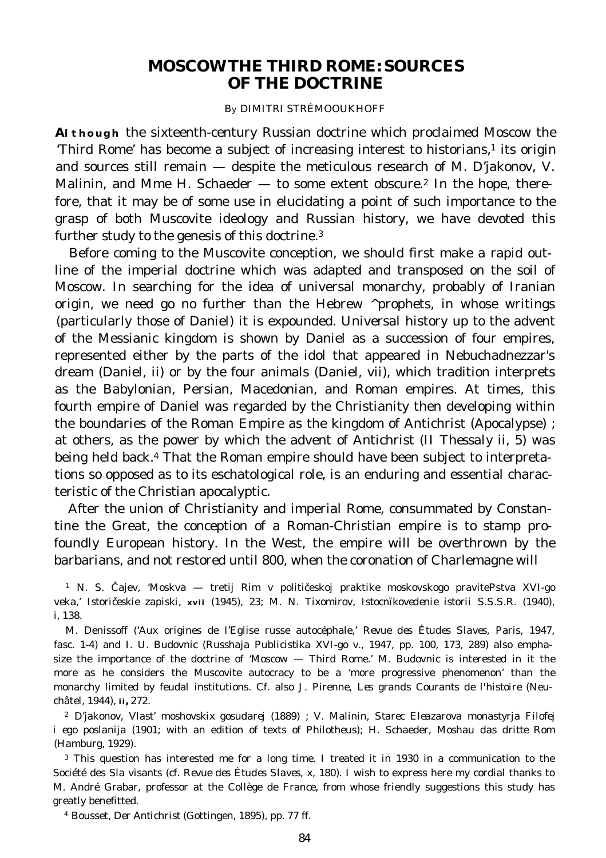## **MOSCOW THE THIRD ROME: SOURCES OF THE DOCTRINE**

## By DIMITRI STRÉMOOUKHOFF

**Although** the sixteenth-century Russian doctrine which proclaimed Moscow the 'Third Rome' has become a subject of increasing interest to historians, $<sup>1</sup>$  its origin</sup> and sources still remain — despite the meticulous research of M. D'jakonov, V. Malinin, and Mme H. Schaeder  $-$  to some extent obscure.<sup>2</sup> In the hope, therefore, that it may be of some use in elucidating a point of such importance to the grasp of both Muscovite ideology and Russian history, we have devoted this further study to the genesis of this doctrine.<sup>3</sup>

Before coming to the Muscovite conception, we should first make a rapid outline of the imperial doctrine which was adapted and transposed on the soil of Moscow. In searching for the idea of universal monarchy, probably of Iranian origin, we need go no further than the Hebrew ^prophets, in whose writings (particularly those of Daniel) it is expounded. Universal history up to the advent of the Messianic kingdom is shown by Daniel as a succession of four empires, represented either by the parts of the idol that appeared in Nebuchadnezzar's dream (Daniel, ii) or by the four animals (Daniel, vii), which tradition interprets as the Babylonian, Persian, Macedonian, and Roman empires. At times, this fourth empire of Daniel was regarded by the Christianity then developing within the boundaries of the Roman Empire as the kingdom of Antichrist (Apocalypse) ; at others, as the power by which the advent of Antichrist (II *Thessaly* ii, 5) was being held back.4 That the Roman empire should have been subject to interpretations so opposed as to its eschatological role, is an enduring and essential characteristic of the Christian apocalyptic.

After the union of Christianity and imperial Rome, consummated by Constantine the Great, the conception of a Roman-Christian empire is to stamp profoundly European history. In the West, the empire will be overthrown by the barbarians, and not restored until 800, when the coronation of Charlemagne will

<sup>1</sup> N. S. ajev, 'Moskva — tretij Rim v politi eskoj praktike moskovskogo pravitePstva XVI-go veka,' *Istoričeskie zapiski*, **xvii** (1945), 23; M. N. Tixomirov, *Istocnïkovedenie istorii S.S.S.R.* (1940), i, 138.

M. Denissoff ('Aux origines de l'Eglise russe autocéphale,' *Revue des Études Slaves*, Paris, 1947, fasc. 1-4) and I. U. Budovnic (*Russhaja Publicistika XVI-go v.,* 1947, pp. 100, 173, 289) also emphasize the importance of the doctrine of 'Moscow — Third Rome.' M. Budovnic is interested in it the more as he considers the Muscovite autocracy to be a 'more progressive phenomenon' than the monarchy limited by feudal institutions. Cf. also J. Pirenne, *Les grands Courants de l'histoire* (Neuchâtel, 1944), **ii,** 272.

<sup>2</sup> D'jakonov, *Vlast*' *moshovskix gosudarej* (1889) ; V. Malinin, *Starec Eleazarova monastyrja Filofej i ego poslanija* (1901; with an edition of texts of Philotheus); H. Schaeder, *Moshau das dritte Rom* (Hamburg, 1929).

<sup>3</sup> This question has interested me for a long time. I treated it in 1930 in a communication to the Société des Sla visants (cf. *Revue des Études Slaves*, x, 180). I wish to express here my cordial thanks to M. André Grabar, professor at the Collège de France, from whose friendly suggestions this study has greatly benefitted.

<sup>4</sup> Bousset, *Der Antichrist* (Gottingen, 1895), pp. 77 ff.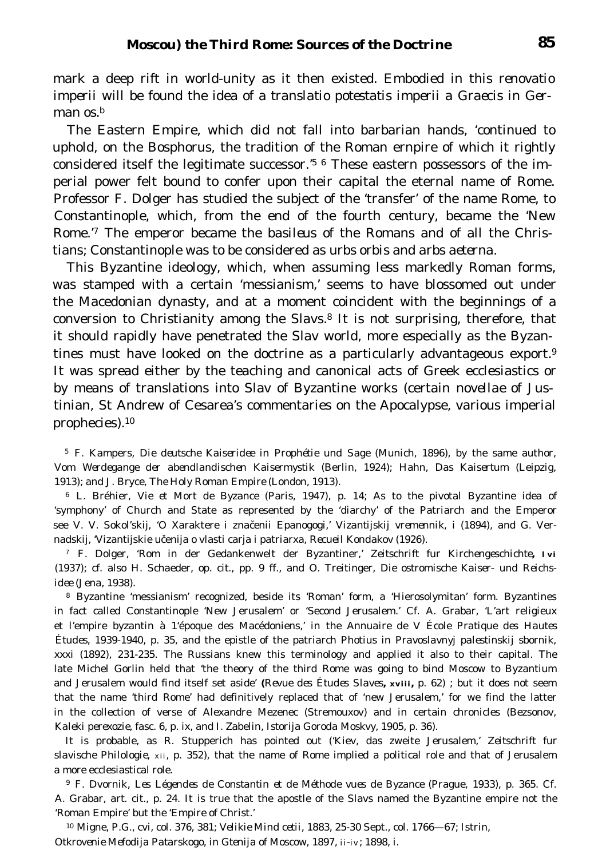mark a deep rift in world-unity as it then existed. Embodied in this *renovatio imperii* will be found the idea of a *translatio potestatis imperii a Graecis in Ger* $man \, \alpha s^b$ 

The Eastern Empire, which did not fall into barbarian hands, 'continued to uphold, on the Bosphorus, the tradition of the Roman ernpire of which it rightly considered itself the legitimate successor.<sup>'5 6</sup> These eastern possessors of the imperial power felt bound to confer upon their capital the eternal name of Rome. Professor F. Dolger has studied the subject of the 'transfer' of the name Rome, to Constantinople, which, from the end of the fourth century, became the 'New Rome.'7 The emperor became the *basileus* of the Romans and of all the Christians; Constantinople was to be considered as *urbs orbis* and *arbs aeterna*.

This Byzantine ideology, which, when assuming less markedly Roman forms, was stamped with a certain 'messianism,' seems to have blossomed out under the Macedonian dynasty, and at a moment coincident with the beginnings of a conversion to Christianity among the Slavs.<sup>8</sup> It is not surprising, therefore, that it should rapidly have penetrated the Slav world, more especially as the Byzantines must have looked on the doctrine as a particularly advantageous export.<sup>9</sup> It was spread either by the teaching and canonical acts of Greek ecclesiastics or by means of translations into Slav of Byzantine works (certain *novellae* of Justinian, St Andrew of Cesarea's commentaries on the Apocalypse, various imperial prophecies).<sup>10</sup>

<sup>5</sup> F. Kampers, *Die deutsche Kaiseridee in Prophétie und Sage* (Munich, 1896), by the same author, *Vom Werdegange der abendlandischen Kaisermystik* (Berlin, 1924); Hahn, *Das Kaisertum* (Leipzig, 1913); and J. Bryce, *The Holy Roman Empire* (London, 1913).

<sup>6</sup> L. Bréhier, *Vie et Mort de Byzance* (Paris, 1947), p. 14; As to the pivotal Byzantine idea of 'symphony' of Church and State as represented by the 'diarchy' of the Patriarch and the Emperor see V. V. Sokol'skij, 'O Xaraktere i zna enii Epanogogi,' *Vizantijskij vremennik*, i (1894), and G. Vernadskij, 'Vizantijskie u enija o vlasti carja i patriarxa, *Recueil Kondakov* (1926).

<sup>7</sup> F. Dolger, 'Rom in der Gedankenwelt der Byzantiner,' *Zeitschrift fur Kirchengeschichte***, lvi** (1937); cf. also H. Schaeder, *op. cit.,* pp. 9 ff., and O. Treitinger, *Die ostromische Kaiser*- *und Reichsidee* (Jena, 1938).

<sup>8</sup> Byzantine 'messianism' recognized, beside its 'Roman' form, a 'Hierosolymitan' form. Byzantines in fact called Constantinople 'New Jerusalem' or 'Second Jerusalem.' Cf. A. Grabar, 'L'art religieux et l'empire byzantin à 1'époque des Macédoniens,' in the *Annuaire de V École Pratique des Hautes Études,* 1939-1940, p. 35, and the epistle of the patriarch Photius in *Pravoslavnyj palestinskij sbornik,* xxxi (1892), 231-235. The Russians knew this terminology and applied it also to their capital. The late Michel Gorlin held that 'the theory of the third Rome was going to bind Moscow to Byzantium and Jerusalem would find itself set aside' **(***Revue des Études Slaves***, xviii,** p. 62) ; but it does not seem that the name 'third Rome' had definitively replaced that of 'new Jerusalem,' for we find the latter in the collection of verse of Alexandre Mezenec (Stremouxov) and in certain chronicles (Bezsonov, *Kaleki perexozie*, fasc. 6, p. ix, and I. Zabelin, *Istorija Goroda Moskvy,* 1905, p. 36).

It is probable, as R. Stupperich has pointed out ('Kiev, das zweite Jerusalem,' *Zeitschrift fur slavische Philologie*, xii, p. 352), that the name of Rome implied a political role and that of Jerusalem a more ecclesiastical role.

<sup>9</sup> F. Dvornik, *Les Légendes de Constantin et de Méthode vues de Byzance* (Prague, 1933), p. 365. Cf. A. Grabar, *art. cit.,* p. 24. It is true that the apostle of the Slavs named the Byzantine empire not the 'Roman Empire' but the 'Empire of Christ.'

<sup>10</sup> Migne, *P.G.,* cvi, col. 376, 381; *Velikie Mind cetii,* 1883, 25-30 Sept., col. 1766—67; Istrin, *Otkrovenie Mefodija Patarskogo,* in *Gtenija* of Moscow, 1897, ii-iv; 1898, i.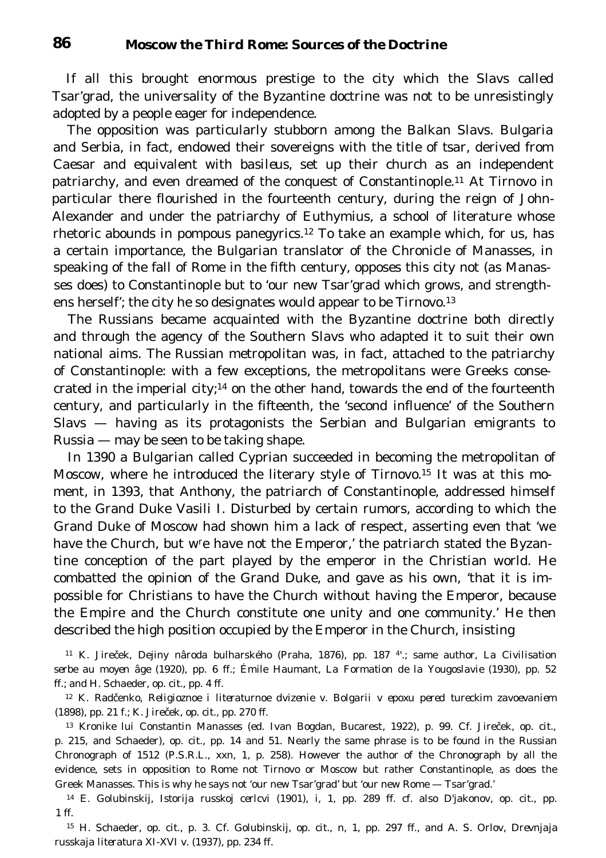If all this brought enormous prestige to the city which the Slavs called Tsar'grad, the universality of the Byzantine doctrine was not to be unresistingly adopted by a people eager for independence.

The opposition was particularly stubborn among the Balkan Slavs. Bulgaria and Serbia, in fact, endowed their sovereigns with the title of *tsar,* derived from Caesar and equivalent with *basileus*, set up their church as an independent patriarchy, and even dreamed of the conquest of Constantinople.11 At Tirnovo in particular there flourished in the fourteenth century, during the reign of John-Alexander and under the patriarchy of Euthymius, a school of literature whose rhetoric abounds in pompous panegyrics.12 To take an example which, for us, has a certain importance, the Bulgarian translator of the Chronicle of Manasses, in speaking of the fall of Rome in the fifth century, opposes this city not (as Manasses does) to Constantinople but to 'our new Tsar'grad which grows, and strengthens herself; the city he so designates would appear to be  $T_{i}$  irnovo.<sup>13</sup>

The Russians became acquainted with the Byzantine doctrine both directly and through the agency of the Southern Slavs who adapted it to suit their own national aims. The Russian metropolitan was, in fact, attached to the patriarchy of Constantinople: with a few exceptions, the metropolitans were Greeks consecrated in the imperial city;<sup>14</sup> on the other hand, towards the end of the fourteenth century, and particularly in the fifteenth, the 'second influence' of the Southern Slavs — having as its protagonists the Serbian and Bulgarian emigrants to Russia — may be seen to be taking shape.

In 1390 a Bulgarian called Cyprian succeeded in becoming the metropolitan of Moscow, where he introduced the literary style of Tirnovo.15 It was at this moment, in 1393, that Anthony, the patriarch of Constantinople, addressed himself to the Grand Duke Vasili I. Disturbed by certain rumors, according to which the Grand Duke of Moscow had shown him a lack of respect, asserting even that 'we have the Church, but wre have not the Emperor,' the patriarch stated the Byzantine conception of the part played by the emperor in the Christian world. He combatted the opinion of the Grand Duke, and gave as his own, 'that it is impossible for Christians to have the Church without having the Emperor, because the Empire and the Church constitute one unity and one community.' He then described the high position occupied by the Emperor in the Church, insisting

<sup>11</sup> K. Jireček, Dejiny nâroda bulharského (Praha, 1876), pp. 187 4'.; same author, *La Civilisation serbe au moyen âge* (1920), pp. 6 ff.; Émile Haumant, *La Formation de la Yougoslavie* (1930), pp. 52 ff.; and H. Schaeder, *op. cit.,* pp. 4 ff.

<sup>12</sup> K. Radčenko, *Religioznoe i literaturnoe dvizenie v. Bolgarii v epoxu pered tureckim zavoevaniem* (1898), pp. 21 f.; K. Jireček, *op. cit.,* pp. 270 ff.

13 *Kronike lui Constantin Manasses* (ed. Ivan Bogdan, Bucarest, 1922), p. 99. Cf. Jire ek, *op. cit.*, p. 215, and Schaeder), *op. cit.,* pp. 14 and 51. Nearly the same phrase is to be found in the Russian Chronograph of 1512 (*P.S.R.L.,* xxn, 1, p. 258). However the author of the Chronograph by all the evidence, sets in opposition to Rome not Tirnovo or Moscow but rather Constantinople, as does the Greek Manasses. This is why he says not 'our new Tsar'grad' but 'our new Rome — Tsar'grad.'

<sup>14</sup> E. Golubinskij, *Istorija russkoj cerlcvi* (1901), i, 1, pp. 289 ff. cf. also D'jakonov, *op. cit.,* pp. 1 ff.

<sup>15</sup> H. Schaeder, *op. cit.,* p. 3. Cf. Golubinskij, *op. cit.,* n, 1, pp. 297 ff., and A. S. Orlov, *Drevnjaja russkaja literatura XI-XVI v.* (1937), pp. 234 ff.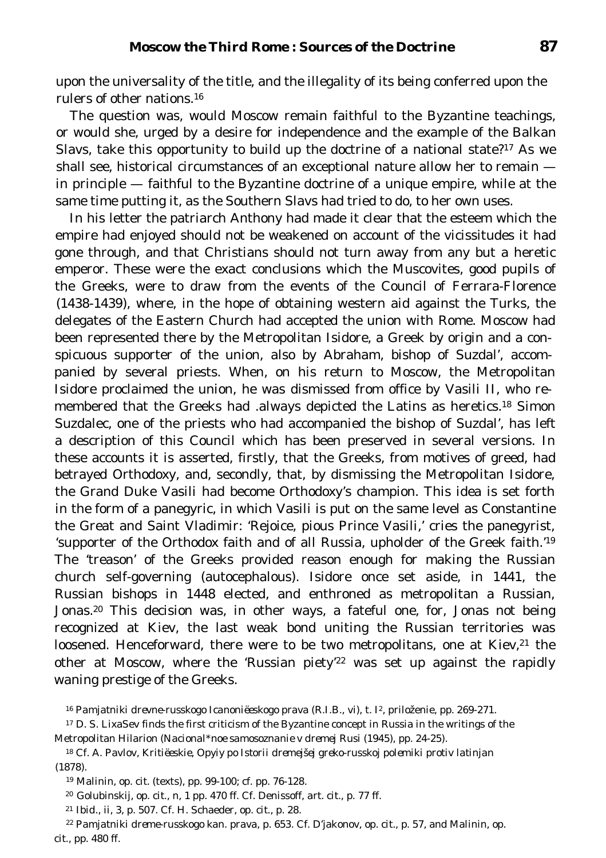upon the universality of the title, and the illegality of its being conferred upon the rulers of other nations.<sup>16</sup>

The question was, would Moscow remain faithful to the Byzantine teachings, or would she, urged by a desire for independence and the example of the Balkan Slavs, take this opportunity to build up the doctrine of a national state?17 As we shall see, historical circumstances of an exceptional nature allow her to remain in principle — faithful to the Byzantine doctrine of a unique empire, while at the same time putting it, as the Southern Slavs had tried to do, to her own uses.

In his letter the patriarch Anthony had made it clear that the esteem which the empire had enjoyed should not be weakened on account of the vicissitudes it had gone through, and that Christians should not turn away from any but a heretic emperor. These were the exact conclusions which the Muscovites, good pupils of the Greeks, were to draw from the events of the Council of Ferrara-Florence (1438-1439), where, in the hope of obtaining western aid against the Turks, the delegates of the Eastern Church had accepted the union with Rome. Moscow had been represented there by the Metropolitan Isidore, a Greek by origin and a conspicuous supporter of the union, also by Abraham, bishop of Suzdal', accompanied by several priests. When, on his return to Moscow, the Metropolitan Isidore proclaimed the union, he was dismissed from office by Vasili II, who remembered that the Greeks had .always depicted the Latins as heretics.18 Simon Suzdalec, one of the priests who had accompanied the bishop of Suzdal', has left a description of this Council which has been preserved in several versions. In these accounts it is asserted, firstly, that the Greeks, from motives of greed, had betrayed Orthodoxy, and, secondly, that, by dismissing the Metropolitan Isidore, the Grand Duke Vasili had become Orthodoxy's champion. This idea is set forth in the form of a panegyric, in which Vasili is put on the same level as Constantine the Great and Saint Vladimir: 'Rejoice, pious Prince Vasili,' cries the panegyrist, 'supporter of the Orthodox faith and of all Russia, upholder of the Greek faith.'<sup>19</sup> The 'treason' of the Greeks provided reason enough for making the Russian church self-governing (autocephalous). Isidore once set aside, in 1441, the Russian bishops in 1448 elected, and enthroned as metropolitan a Russian, Jonas.20 This decision was, in other ways, a fateful one, for, Jonas not being recognized at Kiev, the last weak bond uniting the Russian territories was loosened. Henceforward, there were to be two metropolitans, one at Kiev, $2<sup>1</sup>$  the other at Moscow, where the 'Russian piety'<sup>22</sup> was set up against the rapidly waning prestige of the Greeks.

<sup>21</sup> *Ibid.,* ii, 3, p. 507. Cf. H. Schaeder, *op. cit.,* p. 28.

<sup>16</sup> *Pamjatniki drevne-russkogo Icanoniëeskogo prava* (R.I.B., vi), t. I2, priloženie, pp. 269-271.

<sup>17</sup> D. S. LixaSev finds the first criticism of the Byzantine concept in Russia in the writings of the Metropolitan Hilarion *(Nacional\*noe samosoznanie v dremej Rusi* (1945), pp. 24-25).

<sup>18</sup> Cf. A. Pavlov, *Kritiëeskie, Opyiy po Istorii dremejšej greko-russkoj polemiki protiv latinjan* (1878).

<sup>19</sup> Malinin, *op. cit.* (texts), pp. 99-100; cf. pp. 76-128.

<sup>20</sup> Golubinskij, *op. cit.,* n, 1 pp. 470 ff. Cf. Denissoff, *art. cit.,* p. 77 ff.

<sup>22</sup> *Pamjatniki dreme-russkogo kan. prava,* p. 653. Cf. D'jakonov, *op. cit.,* p. 57, and Malinin, *op. cit.,* pp. 480 ff.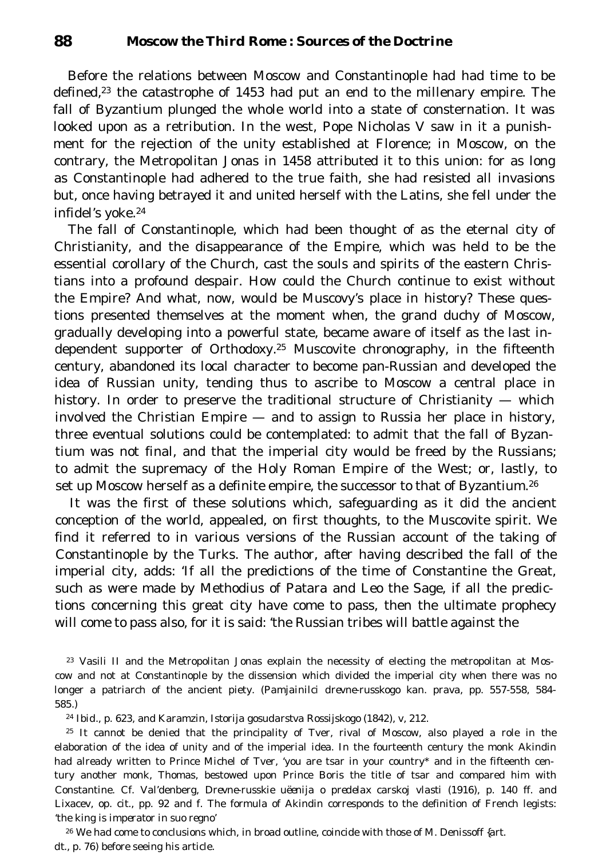Before the relations between Moscow and Constantinople had had time to be defined, $^{23}$  the catastrophe of 1453 had put an end to the millenary empire. The fall of Byzantium plunged the whole world into a state of consternation. It was looked upon as a retribution. In the west, Pope Nicholas V saw in it a punishment for the rejection of the unity established at Florence; in Moscow, on the contrary, the Metropolitan Jonas in 1458 attributed it to this union: for as long as Constantinople had adhered to the true faith, she had resisted all invasions but, once having betrayed it and united herself with the Latins, she fell under the infidel's yoke.<sup>24</sup>

The fall of Constantinople, which had been thought of as the eternal city of Christianity, and the disappearance of the Empire, which was held to be the essential corollary of the Church, cast the souls and spirits of the eastern Christians into a profound despair. How could the Church continue to exist without the Empire? And what, now, would be Muscovy's place in history? These questions presented themselves at the moment when, the grand duchy of Moscow, gradually developing into a powerful state, became aware of itself as the last independent supporter of Orthodoxy.25 Muscovite chronography, in the fifteenth century, abandoned its local character to become pan-Russian and developed the idea of Russian unity, tending thus to ascribe to Moscow a central place in history. In order to preserve the traditional structure of Christianity — which involved the Christian Empire — and to assign to Russia her place in history, three eventual solutions could be contemplated: to admit that the fall of Byzantium was not final, and that the imperial city would be freed by the Russians; to admit the supremacy of the Holy Roman Empire of the West; or, lastly, to set up Moscow herself as a definite empire, the successor to that of Byzantium.<sup>26</sup>

It was the first of these solutions which, safeguarding as it did the ancient conception of the world, appealed, on first thoughts, to the Muscovite spirit. We find it referred to in various versions of the Russian account of the taking of Constantinople by the Turks. The author, after having described the fall of the imperial city, adds: 'If all the predictions of the time of Constantine the Great, such as were made by Methodius of Patara and Leo the Sage, if all the predictions concerning this great city have come to pass, then the ultimate prophecy will come to pass also, for it is said: 'the Russian tribes will battle against the

<sup>23</sup> Vasili II and the Metropolitan Jonas explain the necessity of electing the metropolitan at Moscow and not at Constantinople by the dissension which divided the imperial city when there was no longer a patriarch of the ancient piety. (*Pamjainilci drevne-russkogo kan. prava*, pp. 557-558, 584- 585.)

<sup>24</sup> *Ibid.,* p. 623, and Karamzin, *Istorija gosudarstva Rossijskogo* (1842), v, 212.

<sup>25</sup> It cannot be denied that the principality of Tver, rival of Moscow, also played a role in the elaboration of the idea of unity and of the imperial idea. In the fourteenth century the monk Akindin had already written to Prince Michel of Tver, 'you are tsar in your country\* and in the fifteenth century another monk, Thomas, bestowed upon Prince Boris the title of tsar and compared him with Constantine. Cf. Val'denberg, *Drevne-russkie uëenija o predelax carskoj vlasti* (1916), p. 140 ff. and Lixacev, *op. cit*, pp. 92 and f. The formula of Akindin corresponds to the definition of French legists: 'the king is *imperator in suo regno'*

<sup>26</sup> We had come to conclusions which, in broad outline, coincide with those of M. Denissoff *{art. dt.,* p. 76) before seeing his article.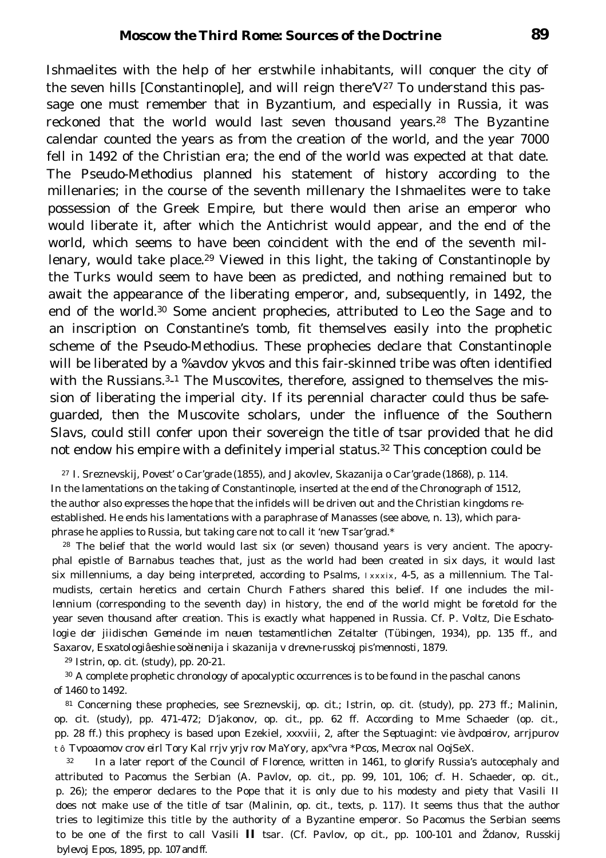Ishmaelites with the help of her erstwhile inhabitants, will conquer the city of the seven hills [Constantinople], and will reign there  $V^{27}$  To understand this passage one must remember that in Byzantium, and especially in Russia, it was reckoned that the world would last seven thousand years.28 The Byzantine calendar counted the years as from the creation of the world, and the year 7000 fell in 1492 of the Christian era; the end of the world was expected at that date. The Pseudo-Methodius planned his statement of history according to the millenaries; in the course of the seventh millenary the Ishmaelites were to take possession of the Greek Empire, but there would then arise an emperor who would liberate it, after which the Antichrist would appear, and the end of the world, which seems to have been coincident with the end of the seventh millenary, would take place.29 Viewed in this light, the taking of Constantinople by the Turks would seem to have been as predicted, and nothing remained but to await the appearance of the liberating emperor, and, subsequently, in 1492, the end of the world.30 Some ancient prophecies, attributed to Leo the Sage and to an inscription on Constantine's tomb, fit themselves easily into the prophetic scheme of the Pseudo-Methodius. These prophecies declare that Constantinople will be liberated by a *%avdov ykvos* and this fair-skinned tribe was often identified with the Russians.3- 1 The Muscovites, therefore, assigned to themselves the mission of liberating the imperial city. If its perennial character could thus be safeguarded, then the Muscovite scholars, under the influence of the Southern Slavs, could still confer upon their sovereign the title of tsar provided that he did not endow his empire with a definitely imperial status.32 This conception could be

<sup>27</sup> I. Sreznevskij, *Povest' o Car'grade* (1855), and Jakovlev, *Skazanija o Car'grade* (1868), p. 114. In the lamentations on the taking of Constantinople, inserted at the end of the Chronograph of 1512, the author also expresses the hope that the infidels will be driven out and the Christian kingdoms reestablished. He ends his lamentations with a paraphrase of Manasses (see above, n. 13), which paraphrase he applies to Russia, but taking care not to call it 'new Tsar'grad.\*

28 The belief that the world would last six (or seven) thousand years is very ancient. The apocryphal epistle of Barnabus teaches that, just as the world had been created in six days, it would last six millenniums, a day being interpreted, according to Psalms, lxxxix, 4-5, as a millennium. The Talmudists, certain heretics and certain Church Fathers shared this belief. If one includes *the millennium* (corresponding to the seventh day) in history, the end of the world might be foretold for the year seven thousand after creation. This is exactly what happened in Russia. Cf. P. Voltz, *Die Eschatologie der jiidischen Gemeinde im neuen testamentlichen Zeitalter* (Tübingen, 1934), pp. 135 ff., and Saxarov, *Esxatologiâeshie soèinenija i skazanija v drevne-russkoj pis'mennosti,* 1879.

<sup>29</sup> Istrin, *op. cit.* (study), pp. 20-21.

<sup>30</sup> A complete prophetic chronology of apocalyptic occurrences is to be found in the paschal canons of 1460 to 1492.

<sup>81</sup> Concerning these prophecies, see Sreznevskij, *op. cit.;* Istrin, *op. cit.* (study), pp. 273 ff.; Malinin, *op. cit.* (study), pp. 471-472; D'jakonov, *op. cit.,* pp. 62 ff. According to Mme Schaeder *(op. cit.,* pp. 28 ff.) this prophecy is based upon Ezekiel, xxxviii, 2, after the *Septuagint: vie àvdpœirov, arrjpurov tô Tvpoaomov crov eirl* Tory *Kal rrjv yrjv rov* MaYory, *apx°vra* \*Pcos, Mecrox *nal* OojSeX.

<sup>32</sup> In a later report of the Council of Florence, written in 1461, to glorify Russia's autocephaly and attributed to Pacomus the Serbian (A. Pavlov, *op. cit.,* pp. 99, 101, 106; cf. H. Schaeder, *op. cit.,* p. 26); the emperor declares to the Pope that it is only due to his modesty and piety that Vasili II does not make use of the title of *tsar* (Malinin, *op. cit.,* texts, p. 117). It seems thus that the author tries to legitimize this title by the authority of a Byzantine emperor. So Pacomus the Serbian seems to be one of the first to call Vasili **II** *tsar*. (Cf. Pavlov, *op cit.,* pp. 100-101 and Ždanov, *Russkij bylevoj Epos,* 1895, pp. 107 and ff.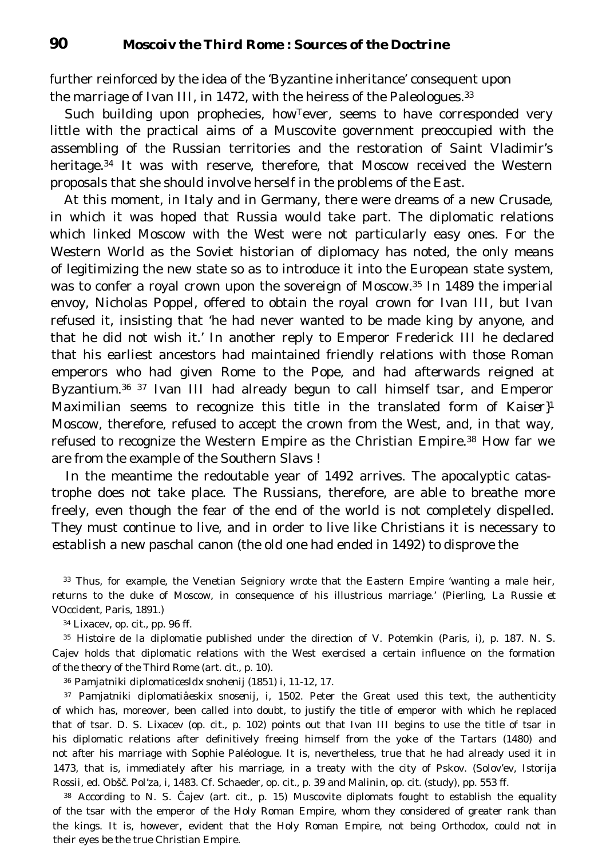further reinforced by the idea of the 'Byzantine inheritance' consequent upon the marriage of Ivan III, in 1472, with the heiress of the Paleologues.<sup>33</sup>

Such building upon prophecies, how<sup>T</sup>ever, seems to have corresponded very little with the practical aims of a Muscovite government preoccupied with the assembling of the Russian territories and the restoration of Saint Vladimir's heritage.<sup>34</sup> It was with reserve, therefore, that Moscow received the Western proposals that she should involve herself in the problems of the East.

At this moment, in Italy and in Germany, there were dreams of a new Crusade, in which it was hoped that Russia would take part. The diplomatic relations which linked Moscow with the West were not particularly easy ones. For the Western World as the Soviet historian of diplomacy has noted, the only means of legitimizing the new state so as to introduce it into the European state system, was to confer a royal crown upon the sovereign of Moscow.<sup>35</sup> In 1489 the imperial envoy, Nicholas Poppel, offered to obtain the royal crown for Ivan III, but Ivan refused it, insisting that 'he had never wanted to be made king by anyone, and that he did not wish it.' In another reply to Emperor Frederick III he declared that his earliest ancestors had maintained friendly relations with those Roman emperors who had given Rome to the Pope, and had afterwards reigned at Byzantium.36 37 Ivan III had already begun to call himself *tsar*, and Emperor Maximilian seems to recognize this title in the translated form of *Kaiser}<sup>1</sup>* Moscow, therefore, refused to accept the crown from the West, and, in that way, refused to recognize the Western Empire as the Christian Empire.38 How far we are from the example of the Southern Slavs !

In the meantime the redoutable year of 1492 arrives. The apocalyptic catastrophe does not take place. The Russians, therefore, are able to breathe more freely, even though the fear of the end of the world is not completely dispelled. They must continue to live, and in order to live like Christians it is necessary to establish a new paschal canon (the old one had ended in 1492) to disprove the

<sup>33</sup> Thus, for example, the Venetian Seigniory wrote that the Eastern Empire 'wanting a male heir, returns to the duke of Moscow, in consequence of his illustrious marriage.' (Pierling, *La Russie et VOccident*, Paris, 1891.)

<sup>34</sup> Lixacev, *op. cit.,* pp. 96 ff.

<sup>35</sup> *Histoire de la diplomatie* published under the direction of V. Potemkin (Paris, i), p. 187. N. S. Cajev holds that diplomatic relations with the West exercised a certain influence on the formation of the theory of the Third Rome *(art. cit.,* p. 10).

<sup>36</sup> *Pamjatniki diplomaticesldx snohenij* (1851) i, 11-12, 17.

<sup>37</sup> *Pamjatniki diplomatiâeskix snosenij*, i, 1502. Peter the Great used this text, the authenticity of which has, moreover, been called into doubt, to justify the title of emperor with which he replaced that of tsar. D. S. Lixacev *(op. cit.,* p. 102) points out that Ivan III begins to use the title of tsar in his diplomatic relations after definitively freeing himself from the yoke of the Tartars (1480) and not after his marriage with Sophie Paléologue. It is, nevertheless, true that he had already used it in 1473, that is, immediately after his marriage, in a treaty with the city of Pskov. (Solov'ev, *Istorija Rossii,* ed. Obšč. Pol'za, i, 1483. Cf. Schaeder, *op. cit.,* p. 39 and Malinin, *op. cit.* (study), pp. 553 ff.

<sup>38</sup> According to N. S. ajev *(art. cit.,* p. 15) Muscovite diplomats fought to establish the equality of the tsar with the emperor of the Holy Roman Empire, whom they considered of greater rank than the kings. It is, however, evident that the Holy Roman Empire, not being Orthodox, could not in their eyes be the true Christian Empire.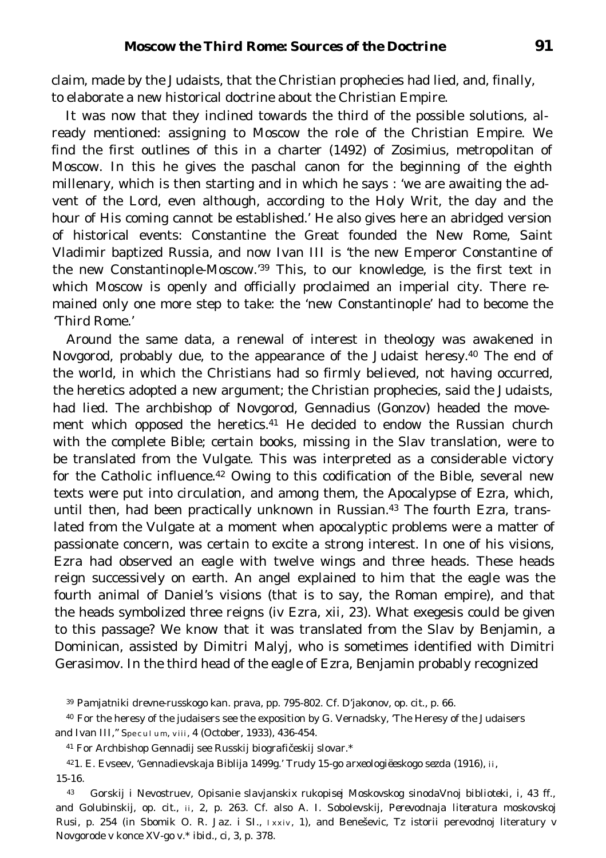claim, made by the Judaists, that the Christian prophecies had lied, and, finally, to elaborate a new historical doctrine about the Christian Empire.

It was now that they inclined towards the third of the possible solutions, already mentioned: assigning to Moscow the role of the Christian Empire. We find the first outlines of this in a charter (1492) of Zosimius, metropolitan of Moscow. In this he gives the paschal canon for the beginning of the eighth millenary, which is then starting and in which he says : 'we are awaiting the advent of the Lord, even although, according to the Holy Writ, the day and the hour of His coming cannot be established.' He also gives here an abridged version of historical events: Constantine the Great founded the New Rome, Saint Vladimir baptized Russia, and now Ivan III is 'the new Emperor Constantine of the new Constantinople-Moscow.'39 This, to our knowledge, is the first text in which Moscow is openly and officially proclaimed an imperial city. There remained only one more step to take: the 'new Constantinople' had to become the 'Third Rome.'

Around the same data, a renewal of interest in theology was awakened in Novgorod, probably due, to the appearance of the Judaist heresy.40 The end of the world, in which the Christians had so firmly believed, not having occurred, the heretics adopted a new argument; the Christian prophecies, said the Judaists, had lied. The archbishop of Novgorod, Gennadius (Gonzov) headed the movement which opposed the heretics.41 He decided to endow the Russian church with the complete Bible; certain books, missing in the Slav translation, were to be translated from the Vulgate. This was interpreted as a considerable victory for the Catholic influence.<sup>42</sup> Owing to this codification of the Bible, several new texts were put into circulation, and among them, the Apocalypse of Ezra, which, until then, had been practically unknown in Russian.<sup>43</sup> The fourth Ezra, translated from the Vulgate at a moment when apocalyptic problems were a matter of passionate concern, was certain to excite a strong interest. In one of his visions, Ezra had observed an eagle with twelve wings and three heads. These heads reign successively on earth. An angel explained to him that the eagle was the fourth animal of Daniel's visions (that is to say, the Roman empire), and that the heads symbolized three reigns (iv Ezra, xii, 23). What exegesis could be given to this passage? We know that it was translated from the Slav by Benjamin, a Dominican, assisted by Dimitri Malyj, who is sometimes identified with Dimitri Gerasimov. In the third head of the eagle of Ezra, Benjamin probably recognized

<sup>39</sup> *Pamjatniki drevne-russkogo kan. prava*, pp. 795-802. Cf. D'jakonov, *op. cit.,* p. 66.

<sup>40</sup> For the heresy of the judaisers see the exposition by G. Vernadsky, 'The Heresy of the Judaisers and Ivan III," Speculum, viii, 4 (October, 1933), 436-454.

<sup>41</sup> For Archbishop Gennadij see *Russkij biografi eskij slovar*.\*

<sup>42</sup>1. E. Evseev, 'Gennadievskaja Biblija 1499g.' *Trudy 15-go arxeologiëeskogo sezda* (1916), ii, 15-16.

<sup>43</sup> Gorskij i Nevostruev, *Opisanie slavjanskix rukopisej Moskovskog sinodaVnoj biblioteki*, i, 43 ff., and Golubinskij, *op. cit.*, ii, 2, p. 263. Cf. also A. I. Sobolevskij, *Perevodnaja literatura moskovskoj Rusi*, p. 254 (in Sbomik O. R. Jaz. i SI., lxxiv, 1), and Beneševic, Tz istorii perevodnoj literatury v Novgorode v konce XV-go v.\* *ibid.,* ci, 3, p. 378.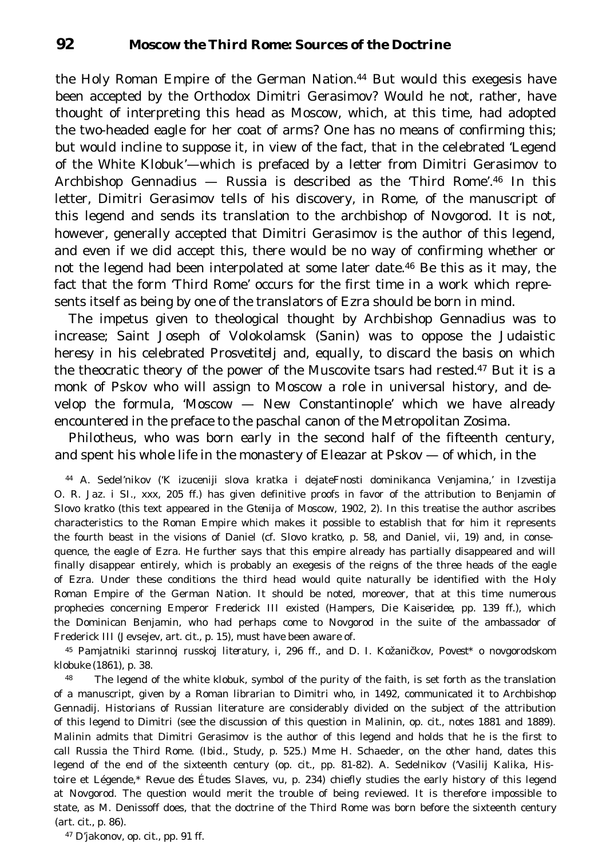the Holy Roman Empire of the German Nation.44 But would this exegesis have been accepted by the Orthodox Dimitri Gerasimov? Would he not, rather, have thought of interpreting this head as Moscow, which, at this time, had adopted the two-headed eagle for her coat of arms? One has no means of confirming this; but would incline to suppose it, in view of the fact, that in the celebrated 'Legend of the White Klobuk'—which is prefaced by a letter from Dimitri Gerasimov to Archbishop Gennadius  $-$  Russia is described as the 'Third Rome'.<sup>46</sup> In this letter, Dimitri Gerasimov tells of his discovery, in Rome, of the manuscript of this legend and sends its translation to the archbishop of Novgorod. It is not, however, generally accepted that Dimitri Gerasimov is the author of this legend, and even if we did accept this, there would be no way of confirming whether or not the legend had been interpolated at some later date.46 Be this as it may, the fact that the form 'Third Rome' occurs for the first time in a work which represents itself as being by one of the translators of Ezra should be born in mind.

The impetus given to theological thought by Archbishop Gennadius was to increase; Saint Joseph of Volokolamsk (Sanin) was to oppose the Judaistic heresy in his celebrated *Prosvetitelj* and, equally, to discard the basis on which the theocratic theory of the power of the Muscovite tsars had rested.47 But it is a monk of Pskov who will assign to Moscow a role in universal history, and develop the formula, 'Moscow — New Constantinople' which we have already encountered in the preface to the paschal canon of the Metropolitan Zosima.

Philotheus, who was born early in the second half of the fifteenth century, and spent his whole life in the monastery of Eleazar at Pskov — of which, in the

<sup>44</sup> A. Sedel'nikov ('K izuceniji slova kratka i dejateFnosti dominikanca Venjamina,' in *Izvestija* O. R. Jaz. i SI., xxx, 205 ff.) has given definitive proofs in favor of the attribution to Benjamin of *Slovo kratko* (this text appeared in the *Gtenija* of Moscow, 1902, 2). In this treatise the author ascribes characteristics to the Roman Empire which makes it possible to establish that for him it represents the fourth beast in the visions of Daniel (cf. *Slovo kratko*, p. 58, and Daniel, vii, 19) and, in consequence, the eagle of Ezra. He further says that this empire already has partially disappeared and will finally disappear entirely, which is probably an exegesis of the reigns of the three heads of the eagle of Ezra. Under these conditions the third head would quite naturally be identified with the Holy Roman Empire of the German Nation. It should be noted, moreover, that at this time numerous prophecies concerning Emperor Frederick III existed (Hampers, *Die Kaiseridee*, pp. 139 ff.), which the Dominican Benjamin, who had perhaps come to Novgorod in the suite of the ambassador of Frederick III (Jevsejev, *art. cit.,* p. 15), must have been aware of.

<sup>45</sup> *Pamjatniki starinnoj russkoj literatury*, i, 296 ff., and D. I. Kožaničkov, *Povest*\* *o novgorodskom klobuke* (1861), p. 38.

<sup>48</sup> The legend of the white *klobuk*, symbol of the purity of the faith, is set forth as the translation of a manuscript, given by a Roman librarian to Dimitri who, in 1492, communicated it to Archbishop Gennadij. Historians of Russian literature are considerably divided on the subject of the attribution of this legend to Dimitri (see the discussion of this question in Malinin, *op. cit*., notes 1881 and 1889). Malinin admits that Dimitri Gerasimov is the author of this legend and holds that he is the first to call Russia the Third Rome. *(Ibid.,* Study, p. 525.) Mme H. Schaeder, on the other hand, dates this legend of the end of the sixteenth century (op. cit., pp. 81-82). A. Sedelnikov ('Vasilij Kalika, Histoire et Légende,\* *Revue des Études Slaves,* vu, p. 234) chiefly studies the early history of this legend at Novgorod. The question would merit the trouble of being reviewed. It is therefore impossible to state, as M. Denissoff does, that the doctrine of the Third Rome was born before the sixteenth century *(art. cit.,* p. 86).

47 D'jakonov, *op. cit.,* pp. 91 ff.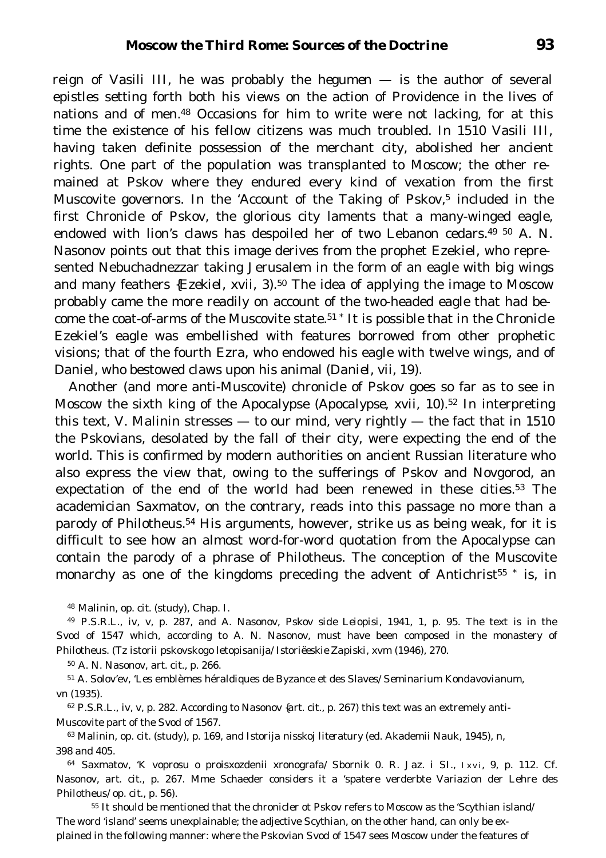reign of Vasili III, he was probably the *hegumen* — is the author of several epistles setting forth both his views on the action of Providence in the lives of nations and of men.48 Occasions for him to write were not lacking, for at this time the existence of his fellow citizens was much troubled. In 1510 Vasili III, having taken definite possession of the merchant city, abolished her ancient rights. One part of the population was transplanted to Moscow; the other remained at Pskov where they endured every kind of vexation from the first Muscovite governors. In the 'Account of the Taking of  $Pskov<sub>1</sub>$ <sup>5</sup> included in the first Chronicle of Pskov, the glorious city laments that a many-winged eagle, endowed with lion's claws has despoiled her of two Lebanon cedars.49 50 A. N. Nasonov points out that this image derives from the prophet Ezekiel, who represented Nebuchadnezzar taking Jerusalem in the form of an eagle with big wings and many feathers *{Ezekiel,* xvii, 3).50 The idea of applying the image to Moscow probably came the more readily on account of the two-headed eagle that had become the coat-of-arms of the Muscovite state.<sup>51</sup> It is possible that in the Chronicle Ezekiel's eagle was embellished with features borrowed from other prophetic visions; that of the fourth Ezra, who endowed his eagle with twelve wings, and of Daniel, who bestowed claws upon his animal (*Daniel*, vii, 19).

Another (and more anti-Muscovite) chronicle of Pskov goes so far as to see in Moscow the sixth king of the Apocalypse (*Apocalypse*, xvii, 10).52 In interpreting this text, V. Malinin stresses  $-$  to our mind, very rightly  $-$  the fact that in 1510 the Pskovians, desolated by the fall of their city, were expecting the end of the world. This is confirmed by modern authorities on ancient Russian literature who also express the view that, owing to the sufferings of Pskov and Novgorod, an expectation of the end of the world had been renewed in these cities.53 The academician Saxmatov, on the contrary, reads into this passage no more than a parody of Philotheus.54 His arguments, however, strike us as being weak, for it is difficult to see how an almost word-for-word quotation from the Apocalypse can contain the parody of a phrase of Philotheus. The conception of the Muscovite monarchy as one of the kingdoms preceding the advent of Antichrist<sup>55 \*</sup> is, in

<sup>48</sup> Malinin, *op. cit.* (study), Chap. I.

<sup>49</sup> *P.S.R.L.,* iv, v, p. 287, and A. Nasonov, *Pskov side Leiopisi,* 1941, 1, p. 95. The text is in the *Svod of* 1547 which, according to A. N. Nasonov, must have been composed in the monastery of Philotheus. (Tz istorii pskovskogo letopisanija/ *Istoriëeskie Zapiski*, xvm (1946), 270.

<sup>50</sup> A. N. Nasonov, *art. cit.,* p. 266.

<sup>51</sup> A. Solov'ev, 'Les emblèmes héraldiques de Byzance et des Slaves/ *Seminarium Kondavovianum,* vn (1935).

62 P.S.R.L., iv, v, p. 282. According to Nasonov *{art. cit.,* p. 267) this text was an extremely anti-Muscovite part of the *Svod* of 1567.

<sup>63</sup> Malinin, *op. cit.* (study), p. 169, and *Istorija nisskoj literatury* (ed. Akademii Nauk, 1945), n, 398 and 405.

<sup>64</sup> Saxmatov, 'K voprosu o proisxozdenii xronografa/ *Sbornik 0. R. Jaz. i SI.,* lxvi, 9, p. 112. Cf. Nasonov, *art. cit.,* p. 267. Mme Schaeder considers it a 'spatere verderbte Variazion der Lehre des Philotheus/ *op. cit.,* p. 56).

<sup>55</sup> It should be mentioned that the chronicler ot Pskov refers to Moscow as the 'Scythian island/ The word 'island' seems unexplainable; the adjective *Scythian,* on the other hand, can only be explained in the following manner: where the Pskovian *Svod* of 1547 sees Moscow under the features of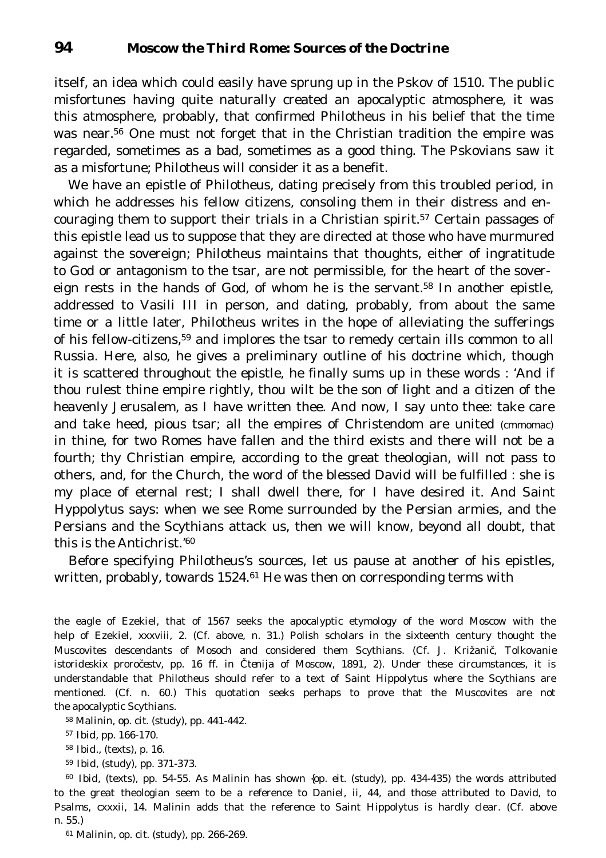itself, an idea which could easily have sprung up in the Pskov of 1510. The public misfortunes having quite naturally created an apocalyptic atmosphere, it was this atmosphere, probably, that confirmed Philotheus in his belief that the time was near.56 One must not forget that in the Christian tradition the empire was regarded, sometimes as a bad, sometimes as a good thing. The Pskovians saw it as a misfortune; Philotheus will consider it as a benefit.

We have an epistle of Philotheus, dating precisely from this troubled period, in which he addresses his fellow citizens, consoling them in their distress and encouraging them to support their trials in a Christian spirit.<sup>57</sup> Certain passages of this epistle lead us to suppose that they are directed at those who have murmured against the sovereign; Philotheus maintains that thoughts, either of ingratitude to God or antagonism to the tsar, are not permissible, for the heart of the sovereign rests in the hands of God, of whom he is the servant.58 In another epistle, addressed to Vasili III in person, and dating, probably, from about the same time or a little later, Philotheus writes in the hope of alleviating the sufferings of his fellow-citizens,59 and implores the tsar to remedy certain ills common to all Russia. Here, also, he gives a preliminary outline of his doctrine which, though it is scattered throughout the epistle, he finally sums up in these words : 'And if thou rulest thine empire rightly, thou wilt be the son of light and a citizen of the heavenly Jerusalem, as I have written thee. And now, I say unto thee: take care and take heed, pious tsar; all the empires of Christendom are united (cmmomac) in thine, for two Romes have fallen and the third exists and there will not be a fourth; thy Christian empire, according to the great theologian, will not pass to others, and, for the Church, the word of the blessed David will be fulfilled : she is my place of eternal rest; I shall dwell there, for I have desired it. And Saint Hyppolytus says: when we see Rome surrounded by the Persian armies, and the Persians and the Scythians attack us, then we will know, beyond all doubt, that this is the Antichrist.'<sup>60</sup>

Before specifying Philotheus's sources, let us pause at another of his epistles, written, probably, towards 1524.<sup>61</sup> He was then on corresponding terms with

the eagle of Ezekiel, that of 1567 seeks the apocalyptic etymology of the word Moscow with the help of Ezekiel, xxxviii, 2. (Cf. above, n. 31.) Polish scholars in the sixteenth century thought the Muscovites descendants of Mosoch and considered them Scythians. (Cf. J. Križani, *Tolkovanie istorideskix proro estv*, pp. 16 ff. in *tenija* of Moscow, 1891, 2). Under these circumstances, it is understandable that Philotheus should refer to a text of Saint Hippolytus where the Scythians are mentioned. (Cf. n. 60.) This quotation seeks perhaps to prove that the Muscovites are not the apocalyptic Scythians.

<sup>58</sup> Malinin, *op. cit.* (study), pp. 441-442.

- <sup>58</sup> *Ibid.,* (texts), p. 16.
- <sup>59</sup> *Ibid,* (study), pp. 371-373.

<sup>60</sup> *Ibid,* (texts), pp. 54-55. As Malinin has shown *{op. eit.* (study), pp. 434-435) the words attributed to the great theologian seem to be a reference to Daniel, ii, 44, and those attributed to David, to Psalms, cxxxii, 14. Malinin adds that the reference to Saint Hippolytus is hardly clear. (Cf. above n. 55.)

61 Malinin, *op. cit.* (study), pp. 266-269.

<sup>57</sup> *Ibid,* pp. 166-170.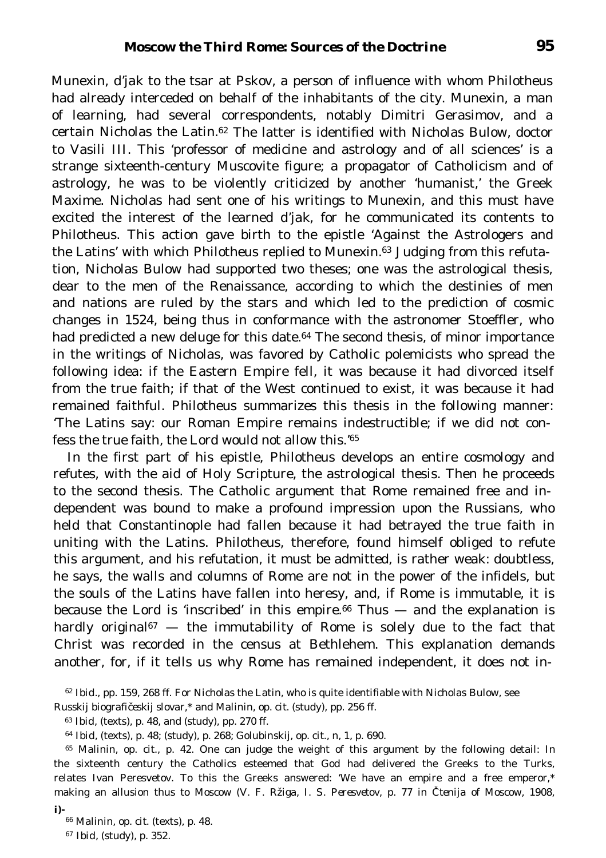Munexin, *d'jak* to the tsar at Pskov, a person of influence with whom Philotheus had already interceded on behalf of the inhabitants of the city. Munexin, a man of learning, had several correspondents, notably Dimitri Gerasimov, and a certain Nicholas the Latin.62 The latter is identified with Nicholas Bulow, doctor to Vasili III. This 'professor of medicine and astrology and of all sciences' is a strange sixteenth-century Muscovite figure; a propagator of Catholicism and of astrology, he was to be violently criticized by another 'humanist,' the Greek Maxime. Nicholas had sent one of his writings to Munexin, and this must have excited the interest of the learned *d'jak*, for he communicated its contents to Philotheus. This action gave birth to the epistle 'Against the Astrologers and the Latins' with which Philotheus replied to Munexin.<sup>63</sup> Judging from this refutation, Nicholas Bulow had supported two theses; one was the astrological thesis, dear to the men of the Renaissance, according to which the destinies of men and nations are ruled by the stars and which led to the prediction of cosmic changes in 1524, being thus in conformance with the astronomer Stoeffler, who had predicted a new deluge for this date.<sup>64</sup> The second thesis, of minor importance in the writings of Nicholas, was favored by Catholic polemicists who spread the following idea: if the Eastern Empire fell, it was because it had divorced itself from the true faith; if that of the West continued to exist, it was because it had remained faithful. Philotheus summarizes this thesis in the following manner: 'The Latins say: our Roman Empire remains indestructible; if we did not confess the true faith, the Lord would not allow this.'<sup>65</sup>

In the first part of his epistle, Philotheus develops an entire cosmology and refutes, with the aid of Holy Scripture, the astrological thesis. Then he proceeds to the second thesis. The Catholic argument that Rome remained free and independent was bound to make a profound impression upon the Russians, who held that Constantinople had fallen because it had betrayed the true faith in uniting with the Latins. Philotheus, therefore, found himself obliged to refute this argument, and his refutation, it must be admitted, is rather weak: doubtless, he says, the walls and columns of Rome are not in the power of the infidels, but the souls of the Latins have fallen into heresy, and, if Rome is immutable, it is because the Lord is 'inscribed' in this empire. $66$  Thus  $-$  and the explanation is hardly original<sup>67</sup> — the immutability of Rome is solely due to the fact that Christ was recorded in the census at Bethlehem. This explanation demands another, for, if it tells us why Rome has remained independent, it does not in-

<sup>66</sup> Malinin, *op. cit.* (texts), p. 48.

<sup>67</sup> *Ibid,* (study), p. 352.

<sup>62</sup> *Ibid.,* pp. 159, 268 ff. For Nicholas the Latin, who is quite identifiable with Nicholas Bulow, see

*Russkij biografičeskij slovar*,\* and Malinin, *op. cit.* (study), pp. 256 ff.

<sup>63</sup> *Ibid,* (texts), p. 48, and (study), pp. 270 ff.

<sup>64</sup> *Ibid,* (texts), p. 48; (study), p. 268; Golubinskij, *op. cit.,* n, 1, p. 690.

<sup>&</sup>lt;sup>65</sup> Malinin, *op. cit.*, p. 42. One can judge the weight of this argument by the following detail: In the sixteenth century the Catholics esteemed that God had delivered the Greeks to the Turks, relates Ivan Peresvetov. To this the Greeks answered: 'We have an empire and a free emperor,\* making an allusion thus to Moscow (V. F. Ržiga, *I. S. Peresvetov*, p. 77 in *tenija* of Moscow, 1908, **i)-**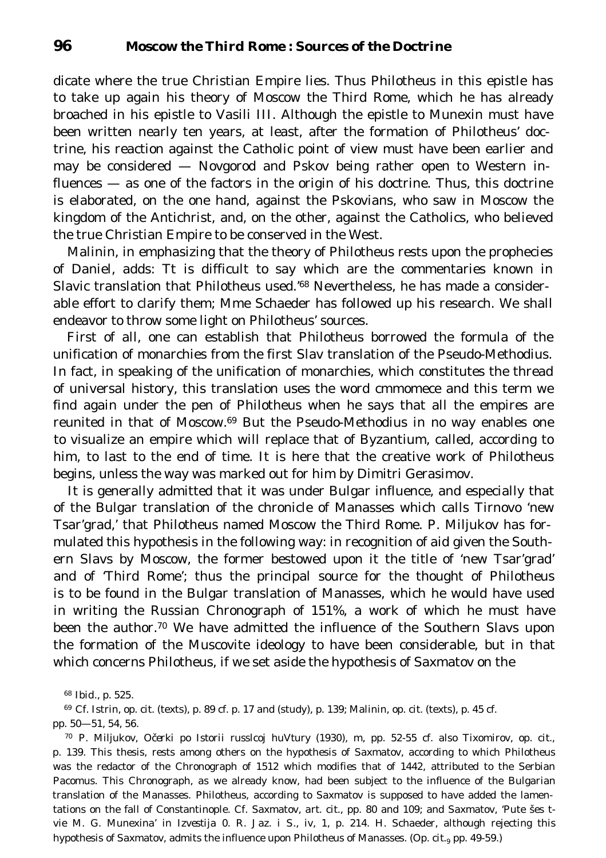dicate where the true Christian Empire lies. Thus Philotheus in this epistle has to take up again his theory of Moscow the Third Rome, which he has already broached in his epistle to Vasili III. Although the epistle to Munexin must have been written nearly ten years, at least, after the formation of Philotheus' doctrine, his reaction against the Catholic point of view must have been earlier and may be considered — Novgorod and Pskov being rather open to Western influences — as one of the factors in the origin of his doctrine. Thus, this doctrine is elaborated, on the one hand, against the Pskovians, who saw in Moscow the kingdom of the Antichrist, and, on the other, against the Catholics, who believed the true Christian Empire to be conserved in the West.

Malinin, in emphasizing that the theory of Philotheus rests upon the prophecies of Daniel, adds: Tt is difficult to say which are the commentaries known in Slavic translation that Philotheus used.'68 Nevertheless, he has made a considerable effort to clarify them; Mme Schaeder has followed up his research. We shall endeavor to throw some light on Philotheus' sources.

First of all, one can establish that Philotheus borrowed the formula of the unification of monarchies from the first Slav translation of the Pseudo-Methodius. In fact, in speaking of the unification of monarchies, which constitutes the thread of universal history, this translation uses the word cmmomece and this term we find again under the pen of Philotheus when he says that all the empires are reunited in that of Moscow.69 But the Pseudo-Methodius in no way enables one to visualize an empire which will replace that of Byzantium, called, according to him, to last to the end of time. It is here that the creative work of Philotheus begins, unless the way was marked out for him by Dimitri Gerasimov.

It is generally admitted that it was under Bulgar influence, and especially that of the Bulgar translation of the chronicle of Manasses which calls Tirnovo 'new Tsar'grad,' that Philotheus named Moscow the Third Rome. P. Miljukov has formulated this hypothesis in the following way: in recognition of aid given the Southern Slavs by Moscow, the former bestowed upon it the title of 'new Tsar'grad' and of 'Third Rome'; thus the principal source for the thought of Philotheus is to be found in the Bulgar translation of Manasses, which he would have used in writing the Russian Chronograph of *151%,* a work of which he must have been the author.70 We have admitted the influence of the Southern Slavs upon the formation of the Muscovite ideology to have been considerable, but in that which concerns Philotheus, if we set aside the hypothesis of Saxmatov on the

<sup>70</sup> P. Miljukov, *Očerki po Istorii russlcoj huVtury* (1930), m, pp. *52-55* cf. also Tixomirov, *op. cit.,* p. 139. This thesis, rests among others on the hypothesis of Saxmatov, according to which Philotheus was the redactor of the Chronograph of 1512 which modifies that of 1442, attributed to the Serbian Pacomus. This Chronograph, as we already know, had been subject to the influence of the Bulgarian translation of the Manasses. Philotheus, according to Saxmatov is supposed to have added the lamentations on the fall of Constantinople. Cf. Saxmatov, *art. cit.,* pp. 80 and 109; and Saxmatov, 'Pute šes tvie M. G. Munexina' in *Izvestija 0. R. Jaz. i S.,* iv, 1, p. 214. H. Schaeder, although rejecting this hypothesis of Saxmatov, admits the influence upon Philotheus of Manasses. *(Op. cit.<sub>9</sub>* pp. 49-59.)

<sup>68</sup> *Ibid.,* p. *525.*

<sup>69</sup> Cf. Istrin, *op. cit.* (texts), p. 89 cf. p. 17 and (study), p. 139; Malinin, *op. cit.* (texts), p. 45 cf. pp. 50—51, 54, 56.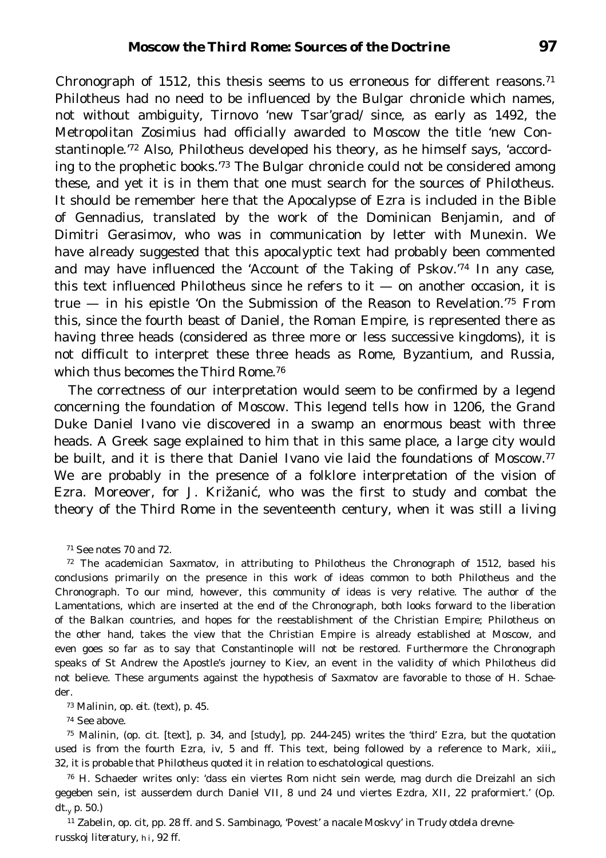Chronograph of 1512, this thesis seems to us erroneous for different reasons.<sup>71</sup> Philotheus had no need to be influenced by the Bulgar chronicle which names, not without ambiguity, Tirnovo 'new Tsar'grad/ since, as early as 1492, the Metropolitan Zosimius had officially awarded to Moscow the title 'new Constantinople.'72 Also, Philotheus developed his theory, as he himself says, 'according to the prophetic books.'73 The Bulgar chronicle could not be considered among these, and yet it is in them that one must search for the sources of Philotheus. It should be remember here that the Apocalypse of Ezra is included in the Bible of Gennadius, translated by the work of the Dominican Benjamin, and of Dimitri Gerasimov, who was in communication by letter with Munexin. We have already suggested that this apocalyptic text had probably been commented and may have influenced the 'Account of the Taking of Pskov.'74 In any case, this text influenced Philotheus since he refers to  $it -$  on another occasion, it is true — in his epistle 'On the Submission of the Reason to Revelation.'75 From this, since the fourth beast of Daniel, the Roman Empire, is represented there as having three heads (considered as three more or less successive kingdoms), it is not difficult to interpret these three heads as Rome, Byzantium, and Russia, which thus becomes the Third Rome.<sup>76</sup>

The correctness of our interpretation would seem to be confirmed by a legend concerning the foundation of Moscow. This legend tells how in 1206, the Grand Duke Daniel Ivano vie discovered in a swamp an enormous beast with three heads. A Greek sage explained to him that in this same place, a large city would be built, and it is there that Daniel Ivano vie laid the foundations of Moscow.<sup>77</sup> We are probably in the presence of a folklore interpretation of the vision of Ezra. Moreover, for J. Križani, who was the first to study and combat the theory of the Third Rome in the seventeenth century, when it was still a living

<sup>71</sup> See notes 70 and 72.

<sup>72</sup> The academician Saxmatov, in attributing to Philotheus the Chronograph of 1512, based his conclusions primarily on the presence in this work of ideas common to both Philotheus and the Chronograph. To our mind, however, this community of ideas is very relative. The author of the Lamentations, which are inserted at the end of the Chronograph, both looks forward to the liberation of the Balkan countries, and hopes for the reestablishment of the Christian Empire; Philotheus on the other hand, takes the view that the Christian Empire is already established at Moscow, and even goes so far as to say that Constantinople will not be restored. Furthermore the Chronograph speaks of St Andrew the Apostle's journey to Kiev, an event in the validity of which Philotheus did not believe. These arguments against the hypothesis of Saxmatov are favorable to those of H. Schaeder.

<sup>73</sup> Malinin, *op. eit.* (text), p. 45.

<sup>74</sup> See above.

<sup>75</sup> Malinin,  $\rho p$ , cit. [text], p. 34, and [study], pp. 244-245) writes the 'third' Ezra, but the quotation used is from the fourth Ezra, iv, 5 and ff. This text, being followed by a reference to Mark, xiii, 32, it is probable that Philotheus quoted it in relation to eschatological questions.

<sup>76</sup> H. Schaeder writes only: 'dass ein viertes Rom nicht sein werde, mag durch die Dreizahl an sich gegeben sein, ist ausserdem durch Daniel VII, 8 und 24 und viertes Ezdra, XII, 22 praformiert.' *(Op.*  $dt$ <sub>y</sub> p. 50.)

*11* Zabelin, *op. cit*, pp. 28 ff. and S. Sambinago, 'Povest' a nacale Moskvy' in *Trudy otdela drevnerusskoj literatury*, hi, 92 ff.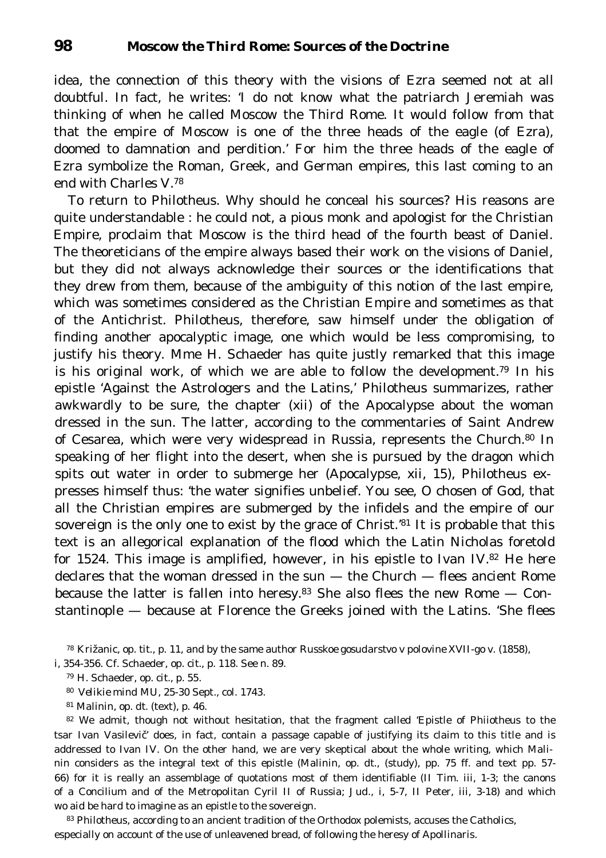idea, the connection of this theory with the visions of Ezra seemed not at all doubtful. In fact, he writes: 'I do not know what the patriarch Jeremiah was thinking of when he called Moscow the Third Rome. It would follow from that that the empire of Moscow is one of the three heads of the eagle (of Ezra), doomed to damnation and perdition.' For him the three heads of the eagle of Ezra symbolize the Roman, Greek, and German empires, this last coming to an end with Charles V.<sup>78</sup>

To return to Philotheus. Why should he conceal his sources? His reasons are quite understandable : he could not, a pious monk and apologist for the Christian Empire, proclaim that Moscow is the third head of the fourth beast of Daniel. The theoreticians of the empire always based their work on the visions of Daniel, but they did not always acknowledge their sources or the identifications that they drew from them, because of the ambiguity of this notion of the last empire, which was sometimes considered as the Christian Empire and sometimes as that of the Antichrist. Philotheus, therefore, saw himself under the obligation of finding another apocalyptic image, one which would be less compromising, to justify his theory. Mme H. Schaeder has quite justly remarked that this image is his original work, of which we are able to follow the development.<sup>79</sup> In his epistle 'Against the Astrologers and the Latins,' Philotheus summarizes, rather awkwardly to be sure, the chapter (xii) of the Apocalypse about the woman dressed in the sun. The latter, according to the commentaries of Saint Andrew of Cesarea, which were very widespread in Russia, represents the Church.80 In speaking of her flight into the desert, when she is pursued by the dragon which spits out water in order to submerge her (Apocalypse, xii, 15), Philotheus expresses himself thus: 'the water signifies unbelief. You see, O chosen of God, that all the Christian empires are submerged by the infidels and the empire of our sovereign is the only one to exist by the grace of Christ.<sup>'81</sup> It is probable that this text is an allegorical explanation of the flood which the Latin Nicholas foretold for 1524. This image is amplified, however, in his epistle to Ivan IV.82 He here declares that the woman dressed in the sun — the Church — flees ancient Rome because the latter is fallen into heresy.<sup>83</sup> She also flees the new Rome  $-$  Constantinople — because at Florence the Greeks joined with the Latins. 'She flees

<sup>78</sup> Križanic, *op. tit.,* p. 11, and by the same author *Russkoe gosudarstvo v polovine XVII-go v.* (1858),

i, 354-356. Cf. Schaeder, *op. cit.,* p. 118. See n. 89.

<sup>80</sup> *Velikie mind MU,* 25-30 Sept., col. 1743.

<sup>81</sup> Malinin, *op. dt.* (text), p. 46.

<sup>82</sup> We admit, though not without hesitation, that the fragment called 'Epistle of Phiiotheus to the tsar Ivan Vasilevi ' does, in fact, contain a passage capable of justifying its claim to this title and is addressed to Ivan IV. On the other hand, we are very skeptical about the whole writing, which Malinin considers as the integral text of this epistle (Malinin, *op. dt.,* (study), pp. 75 ff. and text pp. 57- 66) for it is really an assemblage of quotations most of them identifiable (II Tim. iii, 1-3; the canons of a Concilium and of the Metropolitan Cyril II of Russia; *Jud.,* i, 5-7, II Peter, iii, 3-18) and which wo aid be hard to imagine as an epistle to the sovereign.

83 Philotheus, according to an ancient tradition of the Orthodox polemists, accuses the Catholics, especially on account of the use of unleavened bread, of following the heresy of Apollinaris.

<sup>79</sup> H. Schaeder, *op. cit.,* p. 55.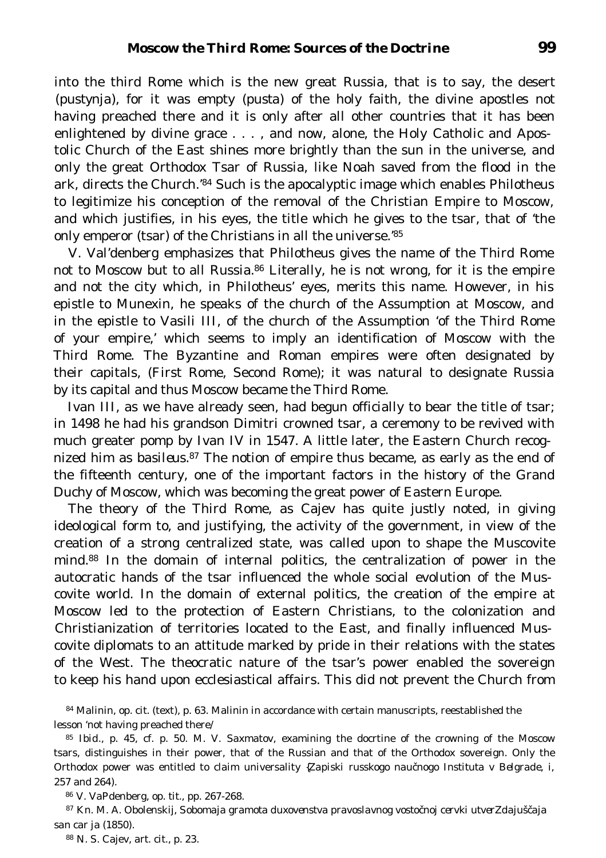into the third Rome which is the new great Russia, that is to say, the desert (*pustynja*), for it was empty *(pusta)* of the holy faith, the divine apostles not having preached there and it is only after all other countries that it has been enlightened by divine grace . . . , and now, alone, the Holy Catholic and Apostolic Church of the East shines more brightly than the sun in the universe, and only the great Orthodox Tsar of Russia, like Noah saved from the flood in the ark, directs the Church.'84 Such is the apocalyptic image which enables Philotheus to legitimize his conception of the removal of the Christian Empire to Moscow, and which justifies, in his eyes, the title which he gives to the tsar, that of 'the only emperor (tsar) of the Christians in all the universe.'<sup>85</sup>

V. Val'denberg emphasizes that Philotheus gives the name of the Third Rome not to Moscow but to all Russia.86 Literally, he is not wrong, for it is the empire and not the city which, in Philotheus' eyes, merits this name. However, in his epistle to Munexin, he speaks of the church of the Assumption at Moscow, and in the epistle to Vasili III, of the church of the Assumption 'of the Third Rome of your empire,' which seems to imply an identification of Moscow with the Third Rome. The Byzantine and Roman empires were often designated by their capitals, (First Rome, Second Rome); it was natural to designate Russia by its capital and thus Moscow became the Third Rome.

Ivan III, as we have already seen, had begun officially to bear the title of tsar; in 1498 he had his grandson Dimitri crowned tsar, a ceremony to be revived with much greater pomp by Ivan IV in 1547. A little later, the Eastern Church recognized him as *basileus.87* The notion of empire thus became, as early as the end of the fifteenth century, one of the important factors in the history of the Grand Duchy of Moscow, which was becoming the great power of Eastern Europe.

The theory of the Third Rome, as Cajev has quite justly noted, in giving ideological form to, and justifying, the activity of the government, in view of the creation of a strong centralized state, was called upon to shape the Muscovite mind.88 In the domain of internal politics, the centralization of power in the autocratic hands of the tsar influenced the whole social evolution of the Muscovite world. In the domain of external politics, the creation of the empire at Moscow led to the protection of Eastern Christians, to the colonization and Christianization of territories located to the East, and finally influenced Muscovite diplomats to an attitude marked by pride in their relations with the states of the West. The theocratic nature of the tsar's power enabled the sovereign to keep his hand upon ecclesiastical affairs. This did not prevent the Church from

<sup>84</sup> Malinin, *op. cit.* (text), p. 63. Malinin in accordance with certain manuscripts, reestablished the lesson 'not having preached there/

<sup>85</sup> *Ibid*., p. 45, cf. p. 50. M. V. Saxmatov, examining the docrtine of the crowning of the Moscow tsars, distinguishes in their power, that of the Russian and that of the Orthodox sovereign. Only the Orthodox power was entitled to claim universality *{Zapiski russkogo nau nogo Instituta v Belgrade*, i, 257 and 264).

<sup>86</sup> V. VaPdenberg, *op. tit.,* pp. 267-268.

87 Kn. M. A. Obolenskij, *Sobomaja gramota duxovenstva pravoslavnog vosto noj cervki utverZdajuš aja san car ja* (1850).

88 N. S. Cajev, *art. cit.,* p. 23.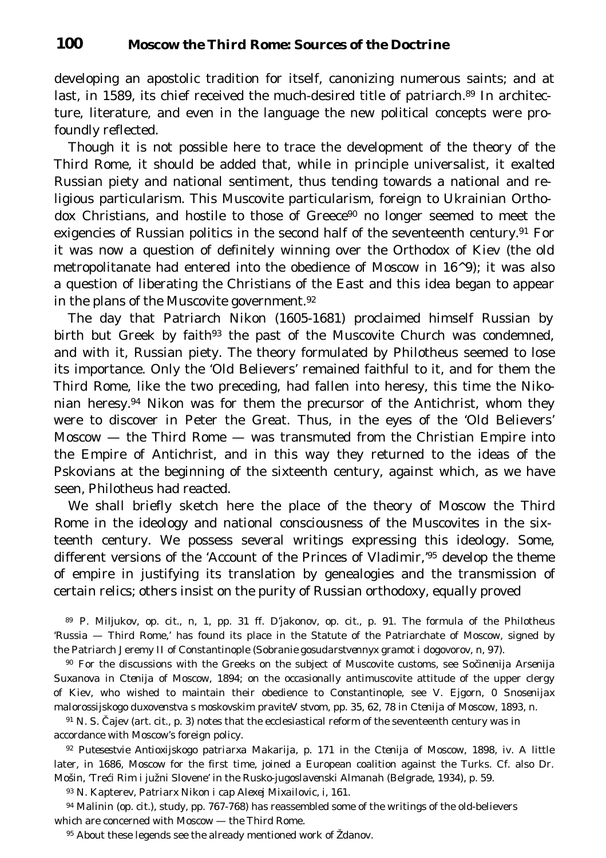developing an apostolic tradition for itself, canonizing numerous saints; and at last, in 1589, its chief received the much-desired title of patriarch.<sup>89</sup> In architecture, literature, and even in the language the new political concepts were profoundly reflected.

Though it is not possible here to trace the development of the theory of the Third Rome, it should be added that, while in principle universalist, it exalted Russian piety and national sentiment, thus tending towards a national and religious particularism. This Muscovite particularism, foreign to Ukrainian Orthodox Christians, and hostile to those of Greece<sup>90</sup> no longer seemed to meet the exigencies of Russian politics in the second half of the seventeenth century.<sup>91</sup> For it was now a question of definitely winning over the Orthodox of Kiev (the old metropolitanate had entered into the obedience of Moscow in  $16^{\circ}$ 9); it was also a question of liberating the Christians of the East and this idea began to appear in the plans of the Muscovite government.<sup>92</sup>

The day that Patriarch Nikon (1605-1681) proclaimed himself Russian by birth but Greek by faith<sup>93</sup> the past of the Muscovite Church was condemned, and with it, Russian piety. The theory formulated by Philotheus seemed to lose its importance. Only the 'Old Believers' remained faithful to it, and for them the Third Rome, like the two preceding, had fallen into heresy, this time the Nikonian heresy.94 Nikon was for them the precursor of the Antichrist, whom they were to discover in Peter the Great. Thus, in the eyes of the 'Old Believers'  $M$ oscow  $-$  the Third Rome  $-$  was transmuted from the Christian Empire into the Empire of Antichrist, and in this way they returned to the ideas of the Pskovians at the beginning of the sixteenth century, against which, as we have seen, Philotheus had reacted.

We shall briefly sketch here the place of the theory of Moscow the Third Rome in the ideology and national consciousness of the Muscovites in the sixteenth century. We possess several writings expressing this ideology. Some, different versions of the 'Account of the Princes of Vladimir,'<sup>95</sup> develop the theme of empire in justifying its translation by genealogies and the transmission of certain relics; others insist on the purity of Russian orthodoxy, equally proved

<sup>89</sup> P. Miljukov, *op. cit*., n, 1, pp. 31 ff. D'jakonov, *op. cit.,* p. 91. The formula of the Philotheus 'Russia — Third Rome,' has found its place in the Statute of the Patriarchate of Moscow, signed by the Patriarch Jeremy II of Constantinople (*Sobranie gosudarstvennyx gramot i dogovorov,* n, 97).

<sup>90</sup> For the discussions with the Greeks on the subject of Muscovite customs, see *So inenija Arsenija Suxanova* in *Ctenija* of Moscow, 1894; on the occasionally antimuscovite attitude of the upper clergy of Kiev, who wished to maintain their obedience to Constantinople, see V. Ejgorn, *0 Snosenijax malorossijskogo duxovenstva s moskovskim praviteV stvom,* pp. 35, 62, 78 in *Ctenija* of Moscow, 1893, n.

<sup>91</sup> N. S. ajev *(art. cit*, p. 3) notes that the ecclesiastical reform of the seventeenth century was in accordance with Moscow's foreign policy.

<sup>92</sup> *Putesestvie Antioxijskogo patriarxa Makarija*, p. 171 in the *Ctenija* of Moscow, 1898, iv. A little later, in 1686, Moscow for the first time, joined a European coalition against the Turks. Cf. also Dr. Mošin, 'Tre i Rim i južni Slovene' in the *Rusko-jugoslavenski Almanah* (Belgrade, 1934), p. 59.

<sup>93</sup> N. Kapterev, *Patriarx Nikon i cap Alexej Mixailovic,* i, 161.

<sup>94</sup> Malinin *(op. cit.),* study, pp. 767-768) has reassembled some of the writings of the old-believers which are concerned with Moscow — the Third Rome.

95 About these legends see the already mentioned work of Ždanov.